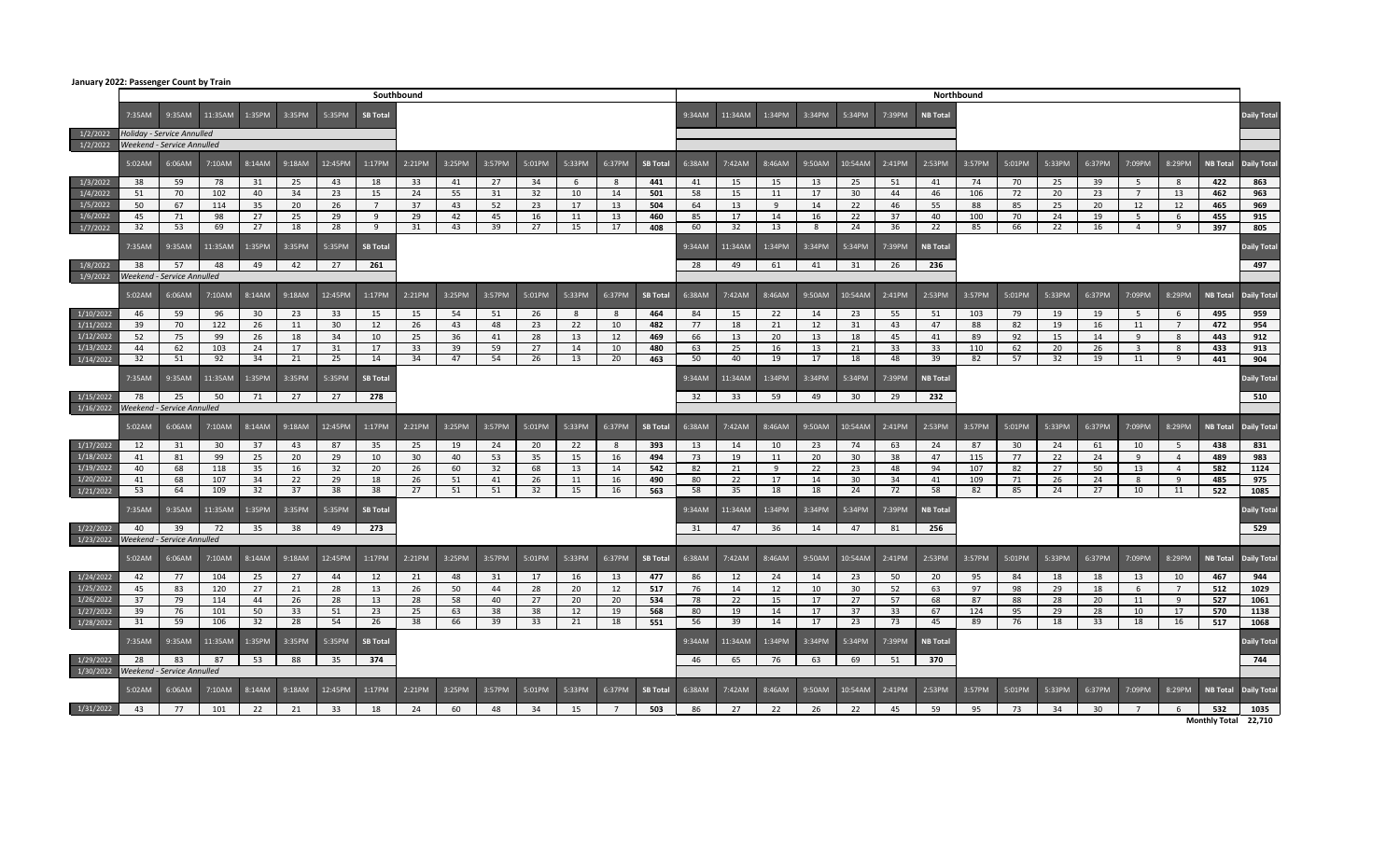|                        |                                                                       |                                      |            |          |          |          |                 | Southbound |          |          |          |                                     |          |                 |          |          |          |          |          |          |                 | Northbound |                 |          |          |                 |                |                 |                             |
|------------------------|-----------------------------------------------------------------------|--------------------------------------|------------|----------|----------|----------|-----------------|------------|----------|----------|----------|-------------------------------------|----------|-----------------|----------|----------|----------|----------|----------|----------|-----------------|------------|-----------------|----------|----------|-----------------|----------------|-----------------|-----------------------------|
|                        | 7:35AM                                                                | 9:35AM                               | 11:35AM    | 1:35PM   | 3:35PM   | 5:35PM   | <b>SB Total</b> |            |          |          |          |                                     |          |                 | 9:34AM   | 11:34AM  | 1:34PM   | 3:34PM   | 5:34PM   | 7:39PM   | <b>NB Total</b> |            |                 |          |          |                 |                |                 | <b>Daily Total</b>          |
| 1/2/2022               |                                                                       | Holiday - Service Annulled           |            |          |          |          |                 |            |          |          |          |                                     |          |                 |          |          |          |          |          |          |                 |            |                 |          |          |                 |                |                 |                             |
| 1/2/2022               |                                                                       | Weekend - Service Annulled           |            |          |          |          |                 |            |          |          |          |                                     |          |                 |          |          |          |          |          |          |                 |            |                 |          |          |                 |                |                 |                             |
|                        | 5:02AM                                                                | 6:06AM                               | 7:10AM     | 8:14AM   | 9:18AM   | 12:45PM  | 1:17PM          | 2:21PM     | 3:25PM   | 3:57PM   | 5:01PM   | 5:33PM                              | 6:37PM   | <b>SB Total</b> | 6:38AM   | 7:42AM   | 8:46AM   | 9:50AM   | 10:54AM  | 2:41PM   | 2:53PM          | 3:57PM     | 5:01PM          | 5:33PM   | 6:37PM   | 7:09PM          | 8:29PM         | <b>NB Total</b> | Daily Total                 |
| 1/3/2022               | 38                                                                    | 59                                   | 78         | 31       | 25       | 43       | 18              | 33         | 41       | 27       | 34       | 6                                   |          | 441             | 41       | 15       | 15       | 13       | 25       | 51       | 41              | 74         | 70              | 25       | 39       | -5              | 8              | 422             | 863                         |
| 1/4/2022               | 51                                                                    | 70                                   | 102        | 40       | 34       | 23       | 15              | 24         | 55       | 31       | 32       | 10                                  | 14       | 501             | 58       | 15       | 11       | 17       | 30       | 44       | 46              | 106        | 72              | 20       | 23       |                 | 13             | 462             | 963                         |
| 1/5/2022               | 50                                                                    | 67                                   | 114        | 35       | 20       | 26       |                 | 37         | 43       | 52       | 23       | 17                                  | 13       | 504             | 64       | 13       | -9       | 14       | 22       | 46       | 55              | 88         | 85              | 25       | 20       | 12              | 12             | 465             | 969                         |
| 1/6/2022<br>1/7/2022   | 45<br>32                                                              | 71<br>53                             | 98<br>69   | 27<br>27 | 25<br>18 | 29<br>28 | 9<br>9          | 29<br>31   | 42<br>43 | 45<br>39 | 16<br>27 | 11<br>15                            | 13<br>17 | 460<br>408      | 85<br>60 | 17<br>32 | 14<br>13 | 16<br>-8 | 22<br>24 | 37<br>36 | 40<br>22        | 100<br>85  | 70<br>66        | 24<br>22 | 19<br>16 | $\overline{4}$  | -9             | 455<br>397      | 915<br>805                  |
|                        | 7:35AM                                                                | 9:35AM                               | 11:35AM    | 1:35PM   | 3:35PM   | 5:35PM   | <b>SB Total</b> |            |          |          |          |                                     |          |                 | 9:34AM   | 11:34AM  | 1:34PM   | 3:34PM   | 5:34PM   | 7:39PM   | <b>NB Total</b> |            |                 |          |          |                 |                |                 | <b>Daily Total</b>          |
| 1/8/2022               | 38                                                                    | 57                                   | 48         | 49       | 42       | 27       | 261             |            |          |          |          |                                     |          |                 | 28       | 49       | 61       | 41       | 31       | 26       | 236             |            |                 |          |          |                 |                |                 | 497                         |
| 1/9/2022               |                                                                       | <b>Veekend - Service Annulled</b>    |            |          |          |          |                 |            |          |          |          |                                     |          |                 |          |          |          |          |          |          |                 |            |                 |          |          |                 |                |                 |                             |
|                        | 5:02AM                                                                | 6:06AM                               | 7:10AM     | 8:14AM   | 9:18AM   | 12:45PM  | 1:17PM          | 2:21PM     | 3:25PM   | 3:57PM   | 5:01PM   | 5:33PM                              | 6:37PM   | <b>SB Total</b> | 6:38AM   | 7:42AM   | 8:46AM   | 9:50AM   | 10:54AM  | 2:41PM   | 2:53PM          | 3:57PM     | 5:01PM          | 5:33PM   | 6:37PM   | 7:09PM          | 8:29PM         | <b>NB Total</b> | Daily Total                 |
| 1/10/2022              | 46                                                                    | 59                                   | 96         | 30       | 23       | 33       | 15              | 15         | 54       | 51       | 26       | -8                                  |          | 464             | 84       | 15       | 22       | 14       | 23       | 55       | 51              | 103        | 79              | 19       | 19       | -5              |                | 495             | 959                         |
| 1/11/2022              | 39                                                                    | 70                                   | 122        | 26       | 11       | 30       | 12              | 26         | 43       | 48       | 23       | 22                                  | 10       | 482             | 77       | 18       | 21       | 12       | 31       | 43       | 47              | 88         | 82              | 19       | 16       | 11<br>9         |                | 472<br>443      | 954                         |
| 1/12/2022<br>1/13/2022 | 52<br>44                                                              | 75<br>62                             | 99<br>103  | 26<br>24 | 18<br>17 | 34<br>31 | 10<br>17        | 25<br>33   | 36<br>39 | 41<br>59 | 28<br>27 | 13<br>14                            | 12<br>10 | 469<br>480      | 66<br>63 | 13<br>25 | 20<br>16 | 13<br>13 | 18<br>21 | 45<br>33 | 41<br>33        | 89<br>110  | 92<br>62        | 15<br>20 | 14<br>26 | 3               |                | 433             | 912<br>913                  |
| 1/14/2022              | 32                                                                    | 51                                   | 92         | 34       | 21       | 25       | 14              | 34         | 47       | 54       | 26       | 13                                  | 20       | 463             | 50       | 40       | 19       | 17       | 18       | 48       | 39              | 82         | 57              | 32       | 19       | 11              | -9             | 441             | 904                         |
|                        | 7:35AM                                                                | 9:35AM                               | 11:35AM    | 1:35PM   | 3:35PM   | 5:35PM   | <b>SB Total</b> |            |          |          |          |                                     |          |                 | 9:34AM   | 11:34AM  | 1:34PM   | 3:34PM   | 5:34PM   | 7:39PM   | <b>NB Total</b> |            |                 |          |          |                 |                |                 | <b>Daily Total</b>          |
| 1/15/2022              | 278<br>27<br>78<br>25<br>50<br>27<br>71<br>Neekend - Service Annulled |                                      |            |          |          |          |                 |            |          |          |          |                                     |          |                 | 32       | 33       | 59       | 49       | 30       | 29       | 232             |            |                 |          |          |                 |                |                 | 510                         |
| 1/16/2022              |                                                                       |                                      |            |          |          |          |                 |            |          |          |          |                                     |          |                 |          |          |          |          |          |          |                 |            |                 |          |          |                 |                |                 |                             |
|                        | 5:02AM                                                                | 6:06AM                               | 7:10AM     | 8:14AM   | 9:18AM   | 12:45PM  | 1:17PM          | 2:21PM     | 3:25PM   | 3:57PM   | 5:01PM   | 5:33PM                              | 6:37PM   | <b>SB Total</b> | 6:38AM   | 7:42AM   | 8:46AM   | 9:50AM   | 10:54AM  | 2:41PM   | 2:53PM          | 3:57PM     | 5:01PM          | 5:33PM   | 6:37PM   | 7:09PM          | 8:29PM         |                 | <b>NB Total Daily Total</b> |
| 1/17/2022              | 12                                                                    | 31                                   | 30         | 37       | 43       | 87       | 35              | 25         | 19       | 24       | 20       | $\begin{array}{ccc} \end{array}$ 22 | $8 \mid$ | 393             |          | 13   14  | 10       | 23       | 74       | 63       | 24              | 87         | 30 <sup>°</sup> | 24       | 61       | 10              | 5 <sup>5</sup> |                 | 438 831                     |
| 1/18/2022<br>1/19/2022 | 41<br>40                                                              | 81<br>68                             | 99<br>118  | 25<br>35 | 20<br>16 | 29<br>32 | 10<br>20        | 30<br>26   | 40<br>60 | 53<br>32 | 35<br>68 | 15<br>13                            | 16<br>14 | 494<br>542      | 73<br>82 | 19<br>21 | 11       | 20<br>22 | 30<br>23 | 38<br>48 | 47<br>94        | 115<br>107 | 77<br>82        | 22<br>27 | 24<br>50 | 13              |                | 489<br>582      | 983<br>1124                 |
| 1/20/2022              | 41                                                                    | 68                                   | 107        | 34       | 22       | 29       | 18              | 26         | 51       | 41       | 26       | 11                                  | 16       | 490             | 80       | 22       | 17       | 14       | 30       | 34       | 41              | 109        | 71              | 26       | 24       | 8               | -9             | 485             | 975                         |
| 1/21/2022              | 53                                                                    | 64                                   | 109        | 32       | 37       | 38       | 38              | 27         | 51       | 51       | 32       | 15                                  | 16       | 563             | 58       | 35       | 18       | 18       | 24       | 72       | 58              | 82         | 85              | 24       | 27       | 10              | 11             | 522             | 1085                        |
|                        | 7:35AM                                                                | 9:35AM                               | 11:35AM    | 1:35PM   | 3:35PM   | 5:35PM   | <b>SB Total</b> |            |          |          |          |                                     |          |                 | 9:34AM   | 11:34AM  | 1:34PM   | 3:34PM   | 5:34PM   | 7:39PM   | <b>NB Total</b> |            |                 |          |          |                 |                |                 | <b>Daily Total</b>          |
| 1/22/2022              | 40                                                                    | 39                                   | 72         | 35       | 38       | - 49     | 273             |            |          |          |          |                                     |          |                 | 31       | 47       | 36       | 14       | 47       | 81       | 256             |            |                 |          |          |                 |                |                 | 529                         |
| 1/23/2022              |                                                                       | Weekend - Service Annulled           |            |          |          |          |                 |            |          |          |          |                                     |          |                 |          |          |          |          |          |          |                 |            |                 |          |          |                 |                |                 |                             |
|                        | 5:02AM                                                                | 6:06AM                               | 7:10AM     | 8:14AM   | 9:18AM   | 12:45PM  | 1:17PM          | 2:21PM     | 3:25PM   | 3:57PM   | 5:01PM   | 5:33PM                              | 6:37PM   | <b>SB Total</b> | 6:38AM   | 7:42AM   | 8:46AM   | 9:50AM   | 10:54AM  | 2:41PM   | 2:53PM          | 3:57PM     | 5:01PM          | 5:33PM   | 6:37PM   | 7:09PM          | 8:29PM         | <b>NB Total</b> | <b>Daily Total</b>          |
| 1/24/2022<br>1/25/2022 | 42<br>45                                                              | 77<br>83                             | 104<br>120 | 25<br>27 | 27       | 44<br>28 | 12<br>13        | 21<br>26   | 48<br>50 | 31<br>44 | 17<br>28 | 16<br>20                            | 13<br>12 | 477<br>517      | 86<br>76 | 12<br>14 | 24<br>12 | 14       | 23<br>30 | 50<br>52 | 20<br>63        | 95<br>97   | 84<br>98        | 18<br>29 | 18<br>18 | 13              | 10             | 467<br>512      | 944<br>1029                 |
| 1/26/2022              | 37                                                                    | 79                                   | 114        | 44       | 21<br>26 | 28       | 13              | 28         | 58       | 40       | 27       | 20                                  | 20       | 534             | 78       | 22       | 15       | 10<br>17 | 27       | 57       | 68              | 87         | 88              | 28       | 20       | 11              | -9             | 527             | 1061                        |
| 1/27/2022              | 39                                                                    | 76                                   | 101        | 50       | 33       | 51       | 23              | 25         | 63       | 38       | 38       | 12                                  | 19       | 568             | 80       | 19       | 14       | 17       | 37       | 33       | 67              | 124        | 95              | 29       | 28       | 10 <sup>°</sup> | 17             | 570             | 1138                        |
| 1/28/2022              | 31                                                                    | 59                                   | 106        | 32       | 28       | 54       | 26              | 38         | 66       | 39       | 33       | 21                                  | 18       | 551             | 56       | 39       | 14       | 17       | 23       | 73       | 45              | 89         | 76              | 18       | 33       | 18              | 16             | 517             | 1068                        |
|                        | 7:35AM                                                                | 9:35AM                               | 11:35AM    | 1:35PM   | 3:35PM   | 5:35PM   | <b>SB Total</b> |            |          |          |          |                                     |          |                 | 9:34AM   | 11:34AM  | 1:34PM   | 3:34PM   | 5:34PM   | 7:39PM   | <b>NB Total</b> |            |                 |          |          |                 |                |                 | <b>Daily Total</b>          |
| 1/29/2022              | 28<br>83<br>87<br>35<br>374<br>53<br>88                               |                                      |            |          |          |          |                 |            |          |          |          |                                     |          | 46              | 65       | 76       | 63       | 69       | 51       | 370      |                 |            |                 |          |          |                 |                | 744             |                             |
| 1/30/2022              | 5:02AM                                                                | Weekend - Service Annulled<br>6:06AM | 7:10AM     | 8:14AM   | 9:18AM   | 12:45PM  | 1:17PM          | 2:21PM     | 3:25PM   | 3:57PM   | 5:01PM   | 5:33PM                              | 6:37PM   | <b>SB Total</b> | 6:38AM   | 7:42AM   | 8:46AM   | 9:50AM   | 10:54AM  | 2:41PM   | 2:53PM          | 3:57PM     | 5:01PM          | 5:33PM   | 6:37PM   | 7:09PM          | 8:29PM         |                 | NB Total Daily Total        |
| 1/31/2022              | 43                                                                    | 77                                   | 101        | 22       | 21       | 33       | 18              | 24         | 60       | 48       | 34       | 15                                  |          | 503             | 86       | 27       | 22       | 26       | 22       | 45       | 59              | 95         | 73              | 34       | 30       |                 |                | 532             | 1035                        |
|                        |                                                                       |                                      |            |          |          |          |                 |            |          |          |          |                                     |          |                 |          |          |          |          |          |          |                 |            |                 |          |          |                 |                |                 |                             |

**Monthly Total 22,710**

## **January 2022: Passenger Count by Train**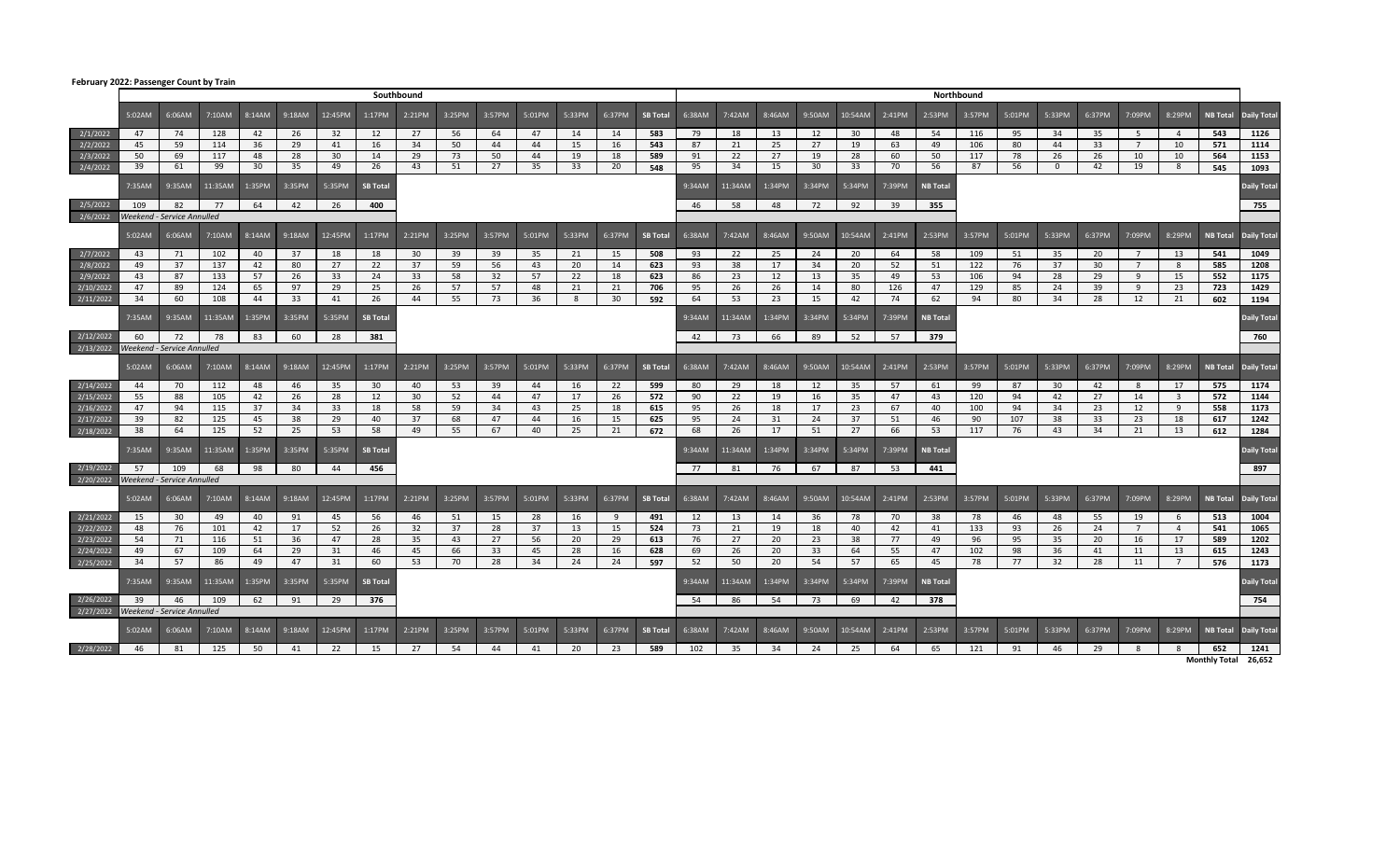|                                                   |                                         | Southbound                        |            |                       |          |                                                     |                 |           |          |          |                       |          |          |                 |          |          |          |                       |                                                            |           | Northbound      |           |            |                 |           |                       |                         |            |                             |
|---------------------------------------------------|-----------------------------------------|-----------------------------------|------------|-----------------------|----------|-----------------------------------------------------|-----------------|-----------|----------|----------|-----------------------|----------|----------|-----------------|----------|----------|----------|-----------------------|------------------------------------------------------------|-----------|-----------------|-----------|------------|-----------------|-----------|-----------------------|-------------------------|------------|-----------------------------|
|                                                   |                                         |                                   |            |                       |          |                                                     |                 |           |          |          |                       |          |          |                 |          |          |          |                       |                                                            |           |                 |           |            |                 |           |                       |                         |            |                             |
|                                                   | 5:02AM                                  | 6:06AM                            | 7:10AM     | 8:14AM                | 9:18AM   | 12:45PM                                             | 1:17PM          | 2:21PM    | 3:25PM   | 3:57PM   | 5:01PM                | 5:33PM   | 6:37PM   | <b>SB Total</b> | 6:38AM   | 7:42AM   | 8:46AM   | 9:50AM                | 10:54AM                                                    | 2:41PM    | 2:53PM          | 3:57PM    | 5:01PM     | 5:33PM          | 6:37PM    | 7:09PM                | 8:29PM                  |            | <b>NB Total Daily Total</b> |
| 2/1/2022                                          | 47                                      | 74                                | 128        | 42                    | 26       | 32                                                  | 12              | 27        | 56       | 64       | 47                    | 14       | 14       | 583             | 79       | 18       | 13       | 12                    | 30                                                         | 48        | 54              | 116       | 95         | 34              | 35        | 5                     |                         | 543        | 1126                        |
| 2/2/2022                                          | 45                                      | 59                                | 114        | 36                    | 29       | 41                                                  | 16              | 34        | 50       | 44       | 44                    | 15       | 16       | 543             | 87       | 21       | 25       | 27                    | 19                                                         | 63        | 49              | 106       | 80         | 44              | 33        | $\overline{7}$        | 10                      | 571        | 1114                        |
| 2/3/2022                                          | 50<br>39                                | 69                                | 117<br>99  | 48<br>30 <sup>°</sup> | 28<br>35 | 30<br>49                                            | 14<br>26        | 29<br>43  | 73       | 50<br>27 | 44<br>35 <sub>2</sub> | 19<br>33 | 18<br>20 | 589             | 91<br>95 | 22<br>34 | 27<br>15 | 19<br>30 <sup>°</sup> | 28<br>33                                                   | 60<br>70  | 50<br>56        | 117<br>87 | 78<br>56   | 26              | 26<br>42  | 10 <sup>°</sup><br>19 | 10                      | 564        | 1153                        |
| 2/4/2022                                          |                                         | 61                                |            |                       |          |                                                     |                 |           | 51       |          |                       |          |          | 548             |          |          |          |                       |                                                            |           |                 |           |            |                 |           |                       |                         | 545        | 1093                        |
|                                                   | 7:35AM                                  | 9:35AM                            | 11:35AM    | 1:35PM                | 3:35PM   | 5:35PM                                              | <b>SB Total</b> |           |          |          |                       |          |          |                 | 9:34AM   | 11:34AM  | 1:34PM   | 3:34PM                | 5:34PM                                                     | 7:39PM    | <b>NB Total</b> |           |            |                 |           |                       |                         |            | <b>Daily Total</b>          |
| 2/5/2022                                          | 109                                     | 82                                | 77         | 64                    | 42       | 26                                                  | 400             |           |          |          |                       |          |          |                 | 46       | 58       | 48       | 72                    | 92                                                         | 39        | 355             |           |            |                 |           |                       |                         |            | 755                         |
| 2/6/2022                                          |                                         | Weekend - Service Annulled        |            |                       |          |                                                     |                 |           |          |          |                       |          |          |                 |          |          |          |                       |                                                            |           |                 |           |            |                 |           |                       |                         |            |                             |
|                                                   | 5:02AM                                  | 6:06AM                            | 7:10AM     | 8:14AM                | 9:18AM   | 12:45PM                                             | 1:17PM          | 2:21PM    | 3:25PM   | 3:57PM   | 5:01PM                | 5:33PM   | 6:37PM   | <b>SB Total</b> | 6:38AM   | 7:42AM   | 8:46AM   | 9:50AM                | 10:54AM                                                    | 2:41PM    | 2:53PM          | 3:57PM    | 5:01PM     | 5:33PM          | 6:37PM    | 7:09PM                | 8:29PM                  |            | <b>NB Total Daily Total</b> |
| 2/7/2022                                          | 43                                      | 71                                | 102        | 40                    | 37       | 18                                                  | 18              | 30        | 39       | 39       | 35                    | 21       | 15       | 508             | 93       | 22       | 25       | 24                    | 20                                                         | 64        | 58              | 109       | 51         | 35              | 20        | $\overline{7}$        | 13                      | 541        | 1049                        |
| 2/8/2022                                          | 49                                      | 37                                | 137        | 42                    | 80       | 27                                                  | 22              | -37       | 59       | 56       | 43                    | 20       | 14       | 623             | 93       | 38       | 17       | -34                   | -20                                                        | 52        | - 51            | 122       | -76        | 37              | 30        |                       |                         | 585        | 1208                        |
| 2/9/2022                                          | 43                                      | 87                                | 133        | 57                    | 26       | 33                                                  | 24              | 33        | 58       | 32       | 57                    | 22       | 18       | 623             | 86       | 23       | 12       | 13                    | 35                                                         | 49        | 53              | 106       | 94         | 28              | 29        | -9                    | 15                      | 552        | 1175                        |
| 2/10/2022                                         | 47<br>34                                | 89<br>60                          | 124<br>108 | 65<br>-44             | 97<br>33 | 29<br>-41                                           | 25<br>26        | 26<br>-44 | 57<br>55 | 57<br>73 | 48<br>36              | 21<br>-8 | 21<br>30 | 706             | 95<br>64 | 26<br>53 | 26<br>23 | 14<br>15              | 80<br>42                                                   | 126<br>74 | 47<br>62        | 129<br>94 | 85<br>80   | 24<br>34        | 39<br>-28 | 9<br>12               | 23<br>21                | 723        | 1429                        |
| 2/11/2022                                         |                                         |                                   |            |                       |          |                                                     |                 |           |          |          |                       |          |          | 592             |          |          |          |                       |                                                            |           |                 |           |            |                 |           |                       |                         | 602        | 1194                        |
|                                                   | 7:35AM                                  | 9:35AM                            | 11:35AM    | 1:35PM                | 3:35PM   | 5:35PM                                              | <b>SB Total</b> |           |          |          |                       |          |          |                 | 9:34AM   | 11:34AM  | 1:34PM   | 3:34PM                | 5:34PM                                                     | 7:39PM    | <b>NB Total</b> |           |            |                 |           |                       |                         |            | <b>Daily Total</b>          |
| 2/12/2022                                         | 60                                      | 72                                | 78         | 83                    | 60       | 28                                                  | 381             |           |          |          |                       |          |          |                 | 42       | 73       | 66       | 89                    | 52                                                         | 57        | 379             |           |            |                 |           |                       |                         |            | 760                         |
| 2/13/2022                                         |                                         | <b>Neekend - Service Annulled</b> |            |                       |          |                                                     |                 |           |          |          |                       |          |          |                 |          |          |          |                       |                                                            |           |                 |           |            |                 |           |                       |                         |            |                             |
|                                                   | 5:02AM                                  | 6:06AM                            | 7:10AM     | 8:14AM                | 9:18AM   | 12:45PM                                             | 1:17PM          | 2:21PM    | 3:25PM   | 3:57PM   | 5:01PM                | 5:33PM   | 6:37PM   | <b>SB Total</b> | 6:38AM   | 7:42AM   | 8:46AM   | 9:50AM                | 10:54AM                                                    | 2:41PM    | 2:53PM          | 3:57PM    | 5:01PM     | 5:33PM          | 6:37PM    | 7:09PM                | 8:29PM                  |            | <b>NB Total Daily Total</b> |
| 2/14/2022                                         | 44                                      | 70                                | 112        | 48                    | 46       | 35                                                  | 30 <sup>°</sup> | 40        | 53       | 39       | 44                    | 16       | 22       | 599             | 80       | 29       | 18       | 12                    | 35                                                         | 57        | 61              | 99        | 87         | 30 <sup>°</sup> | 42        | 8                     | 17                      | 575        | 1174                        |
| 2/15/2022                                         | 55                                      | 88                                | 105        | 42                    | 26       | 28                                                  | 12              | 30        | 52       | 44       | 47                    | 17       | 26       | 572             | 90       | 22       | 19       | 16                    | 35                                                         | 47        | 43              | 120       | 94         | 42              | 27        | 14                    | $\overline{\mathbf{3}}$ | 572        | 1144                        |
| 2/16/2022                                         | 47                                      | 94                                | 115        | 37                    | 34       | 33                                                  | 18              | 58        | 59       | 34       | 43                    | 25       | 18       | 615             | 95       | 26       | 18       | 17                    | 23                                                         | 67        | 40              | 100       | 94         | 34              | 23        | 12                    | -9                      | 558        | 1173                        |
| 2/17/2022<br>2/18/2022                            | 39<br>38                                | 82<br>64                          | 125<br>125 | 45<br>52              | 38<br>25 | 29<br>53                                            | 40<br>58        | 37<br>49  | 68<br>55 | 47<br>67 | 40                    | 16<br>25 | 15<br>21 | 625<br>672      | 95<br>68 | 24<br>26 | 31<br>17 | 24<br>51              | 37<br>27                                                   | 51<br>66  | 46<br>53        | 90<br>117 | 107<br>-76 | 38<br>43        | 33<br>-34 | 23<br>21              | 18<br>13                | 617<br>612 | 1242<br>1284                |
|                                                   |                                         |                                   |            |                       |          | 7:35AM 9:35AM 11:35AM 1:35PM 3:35PM 5:35PM SB Total |                 |           |          |          |                       |          |          |                 |          |          |          |                       | 9:34AM  11:34AM  1:34PM  3:34PM  5:34PM  7:39PM  NB  Total |           |                 |           |            |                 |           |                       |                         |            | <b>Daily Total</b>          |
|                                                   |                                         |                                   |            |                       |          |                                                     |                 |           |          |          |                       |          |          |                 |          |          |          |                       |                                                            |           |                 |           |            |                 |           |                       |                         |            |                             |
| 2/19/2022<br>2/20/2022 Weekend - Service Annulled | 57                                      | 109                               | 68         | 98                    | 80       | 44                                                  | 456             |           |          |          |                       |          |          |                 | 77       | 81       | 76       | 67                    | 87                                                         | 53        | 441             |           |            |                 |           |                       |                         |            | 897                         |
|                                                   |                                         |                                   |            |                       |          |                                                     |                 |           |          |          |                       |          |          |                 |          |          |          |                       |                                                            |           |                 |           |            |                 |           |                       |                         |            |                             |
|                                                   | 5:02AM                                  | 6:06AM                            | 7:10AM     | 8:14AM                | 9:18AM   | 12:45PM                                             | 1:17PM          | 2:21PM    | 3:25PM   | 3:57PM   | 5:01PM                | 5:33PM   | 6:37PM   | <b>SB Total</b> | 6:38AM   | 7:42AM   | 8:46AM   | 9:50AM                | 10:54AM                                                    | 2:41PM    | 2:53PM          | 3:57PM    | 5:01PM     | 5:33PM          | 6:37PM    | 7:09PM                | 8:29PM                  |            | <b>NB Total Daily Total</b> |
| 2/21/2022                                         | 15                                      | 30 <sup>2</sup>                   | 49         | 40                    | 91       | 45                                                  | 56              | 46        | 51       | 15       | 28                    | 16       |          | 491             | 12       | 13       | 14       | 36                    | 78                                                         | 70        | 38              | 78        | 46         | 48              | 55        | 19<br>$\overline{7}$  | 6                       | 513        | 1004                        |
| 2/22/2022<br>2/23/2022                            | 48<br>54                                | 76                                | 101<br>116 | 42                    | 17<br>36 | 52<br>47                                            | 26<br>28        | 32<br>35  | 37<br>43 | 28<br>27 | 37<br>56              | 13<br>20 | 15       | 524<br>613      | 73       | 21<br>27 | 19<br>20 | 18<br>23              | 40                                                         | 42<br>77  | 41<br>49        | 133<br>96 | 93<br>95   | 26<br>35        | 24<br>20  | 16                    | 17                      | 541<br>589 | 1065<br>1202                |
| 2/24/2022                                         | 49                                      | 71<br>67                          | 109        | -51<br>64             | 29       | 31                                                  | 46              | 45        | 66       | 33       | 45                    | 28       | 29<br>16 | 628             | 76<br>69 | 26       | 20       | 33                    | 38<br>64                                                   | 55        | 47              | 102       | 98         | 36              | 41        | 11                    | 13                      | 615        | 1243                        |
| 2/25/2022                                         | 34                                      | 57                                | 86         | 49                    | 47       | 31                                                  | 60              | 53        | 70       | 28       | 34                    | 24       | 24       | 597             | 52       | 50       | 20       | 54                    | 57                                                         | 65        | 45              | 78        | 77         | 32              | -28       | 11                    |                         | 576        | 1173                        |
|                                                   | 7:35AM                                  | 9:35AM                            |            | 11:35AM   1:35PM      | 3:35PM   | 5:35PM                                              | <b>SB Total</b> |           |          |          |                       |          |          |                 | 9:34AM   | 11:34AM  | 1:34PM   |                       | 3:34PM 5:34PM                                              | 7:39PM    | <b>NB Total</b> |           |            |                 |           |                       |                         |            | <b>Daily Total</b>          |
| 2/26/2022                                         | 39                                      | 376<br>46<br>109<br>29<br>91      |            |                       |          |                                                     |                 |           |          |          |                       |          |          |                 | 54       | 86       | 54       | 73                    | 69                                                         | 42        | 378             |           |            |                 |           |                       |                         |            | 754                         |
| 2/27/2022                                         | 62<br><b>Weekend - Service Annulled</b> |                                   |            |                       |          |                                                     |                 |           |          |          |                       |          |          |                 |          |          |          |                       |                                                            |           |                 |           |            |                 |           |                       |                         |            |                             |
|                                                   | 5:02AM                                  | 6:06AM                            |            | 7:10AM 8:14AM         | 9:18AM   | 12:45PM                                             | 1:17PM          | 2:21PM    | 3:25PM   | 3:57PM   | 5:01PM                | 5:33PM   | 6:37PM   | <b>SB Total</b> | 6:38AM   | 7:42AM   | 8:46AM   |                       | 9:50AM 10:54AM                                             | 2:41PM    | 2:53PM          | 3:57PM    | 5:01PM     | 5:33PM          | 6:37PM    | 7:09PM                | 8:29PM                  |            | <b>NB Total Daily Total</b> |
| 2/28/2022                                         | 46                                      | 81                                | 125        | 50                    | 41       | 22                                                  | 15              | 27        | 54       | 44       | 41                    | 20       | 23       | 589             | 102      | 35       | 34       | 24                    | 25                                                         | 64        | 65              | 121       | 91         | 46              | 29        | 8                     |                         | 652        | 1241                        |

**Monthly Total 26,652**

## **February 2022: Passenger Count by Train**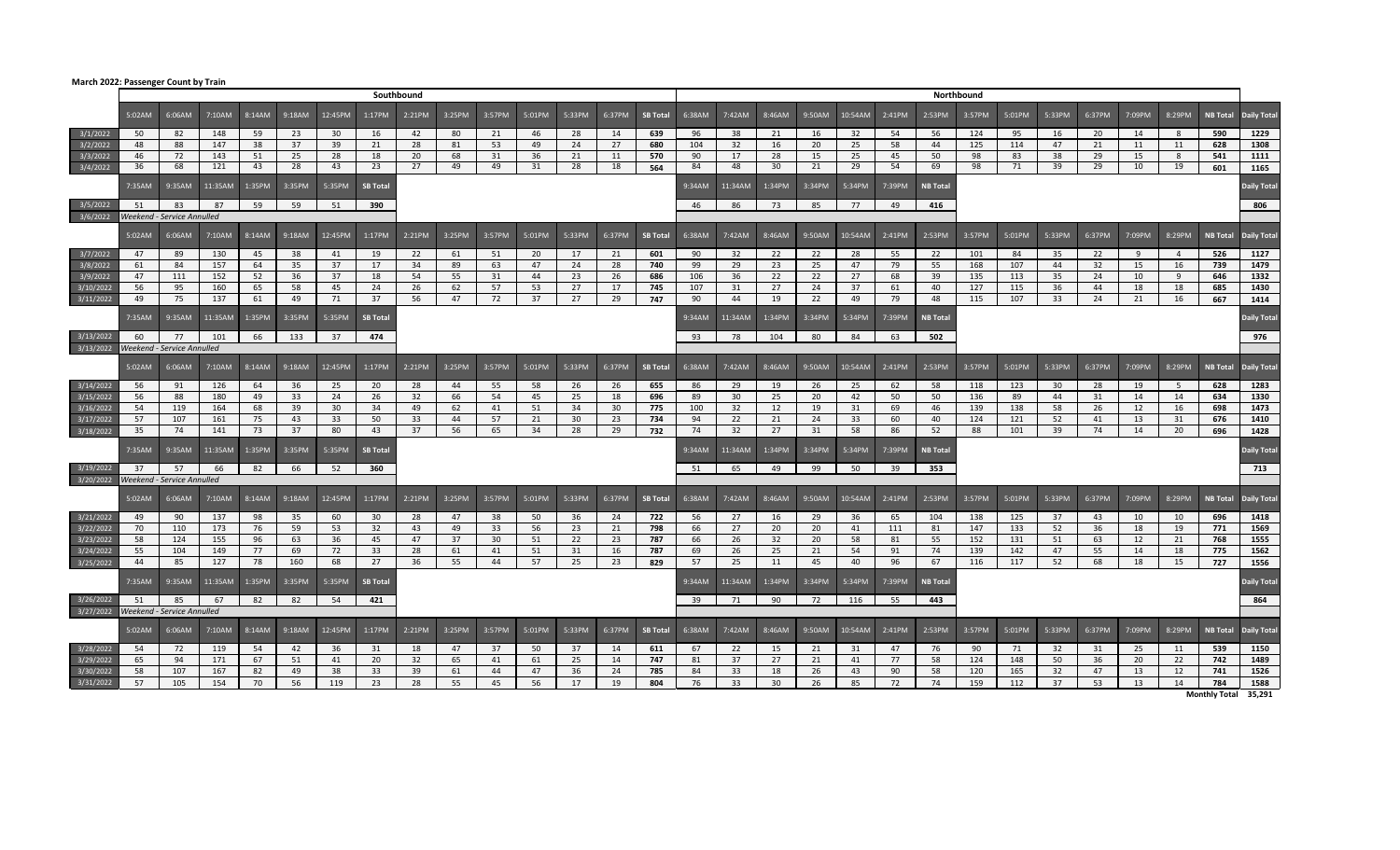|                                      |                                         |                                                     |         |        |        |         |                 | Southbound |        |        |        |        |        |                 |        |         |        |        |                                                           |        |                 | Northbound |        |        |        |                 |                |                             |                             |
|--------------------------------------|-----------------------------------------|-----------------------------------------------------|---------|--------|--------|---------|-----------------|------------|--------|--------|--------|--------|--------|-----------------|--------|---------|--------|--------|-----------------------------------------------------------|--------|-----------------|------------|--------|--------|--------|-----------------|----------------|-----------------------------|-----------------------------|
|                                      |                                         |                                                     |         |        |        |         |                 |            |        |        |        |        |        |                 |        |         |        |        |                                                           |        |                 |            |        |        |        |                 |                |                             |                             |
|                                      | 5:02AM                                  | 6:06AM                                              | 7:10AM  | 8:14AM | 9:18AM | 12:45PM | 1:17PM          | 2:21PM     | 3:25PM | 3:57PM | 5:01PM | 5:33PM | 6:37PM | <b>SB Total</b> | 6:38AM | 7:42AM  | 8:46AM | 9:50AM | 10:54AM                                                   | 2:41PM | 2:53PM          | 3:57PM     | 5:01PM | 5:33PM | 6:37PM | 7:09PM          | 8:29PM         |                             | <b>NB Total Daily Total</b> |
| 3/1/2022                             | 50                                      | 82                                                  | 148     | 59     | 23     | 30      | 16              | 42         | 80     | 21     | 46     | 28     | 14     | 639             | 96     | 38      | 21     | 16     | 32                                                        | 54     | 56              | 124        | 95     | 16     | 20     | 14              | 8              | 590                         | 1229                        |
| 3/2/2022                             | 48                                      | 88                                                  | 147     | 38     | 37     | 39      | 21              | 28         | 81     | 53     | 49     | 24     | 27     | 680             | 104    | 32      | 16     | 20     | 25                                                        | 58     | 44              | 125        | 114    | 47     | 21     | 11              | 11             | 628                         | 1308                        |
| 3/3/2022                             | 46                                      | 72                                                  | 143     | -51    | 25     | 28      | 18              | 20         | 68     | 31     | 36     | 21     | 11     | 570             | 90     | 17      | 28     | 15     | 25                                                        | 45     | 50              | 98         | 83     | 38     | 29     | 15              |                | 541                         | 1111                        |
| 3/4/2022                             | 36                                      | 68                                                  | 121     | -43    | 28     | 43      | 23              | 27         | 49     | 49     | 31     | 28     | 18     | 564             | 84     | 48      | 30     | 21     | 29                                                        | 54     | 69              | 98         | 71     | 39     | 29     | 10              | -19            | 601                         | 1165                        |
|                                      |                                         |                                                     |         |        |        |         |                 |            |        |        |        |        |        |                 |        |         |        |        |                                                           |        |                 |            |        |        |        |                 |                |                             |                             |
|                                      | 7:35AM                                  | 9:35AM                                              | 11:35AM | 1:35PM | 3:35PM | 5:35PM  | <b>SB Total</b> |            |        |        |        |        |        |                 | 9:34AM | 11:34AM | 1:34PM | 3:34PM | 5:34PM                                                    | 7:39PM | <b>NB Total</b> |            |        |        |        |                 |                |                             | <b>Daily Total</b>          |
| 3/5/2022                             | 51                                      | 83                                                  | 87      | 59     | 59     | 51      | 390             |            |        |        |        |        |        |                 | 46     | 86      | 73     | 85     | 77                                                        | 49     | 416             |            |        |        |        |                 |                |                             | 806                         |
| 3/6/2022                             |                                         | Weekend - Service Annulled                          |         |        |        |         |                 |            |        |        |        |        |        |                 |        |         |        |        |                                                           |        |                 |            |        |        |        |                 |                |                             |                             |
|                                      |                                         |                                                     |         |        |        |         |                 |            |        |        |        |        |        |                 |        |         |        |        |                                                           |        |                 |            |        |        |        |                 |                |                             |                             |
|                                      | 5:02AM                                  | 6:06AM                                              | 7:10AM  | 8:14AM | 9:18AM | 12:45PM | 1:17PM          | 2:21PM     | 3:25PM | 3:57PM | 5:01PM | 5:33PM | 6:37PM | <b>SB Total</b> | 6:38AM | 7:42AM  | 8:46AM | 9:50AM | 10:54AM                                                   | 2:41PM | 2:53PM          | 3:57PM     | 5:01PM | 5:33PM | 6:37PM | 7:09PM          | 8:29PM         |                             | <b>NB Total Daily Total</b> |
| 3/7/2022                             | 47                                      | 89                                                  | 130     | 45     | 38     | 41      | 19              | 22         | 61     | 51     | 20     | 17     | 21     | 601             | 90     | 32      | 22     | 22     | 28                                                        | 55     | 22              | 101        | 84     | 35     | 22     | 9               | $\overline{4}$ | 526                         | 1127                        |
| 3/8/2022                             | 61                                      | 84                                                  | 157     | 64     | 35     | 37      | 17              | 34         | 89     | 63     | 47     | 24     | 28     | 740             | 99     | 29      | 23     | 25     | 47                                                        | 79     | 55              | 168        | 107    | 44     | 32     | 15              | 16             | 739                         | 1479                        |
| 3/9/2022                             | 47                                      | 111                                                 | 152     | 52     | 36     | 37      | 18              | 54         | 55     | 31     | 44     | 23     | 26     | 686             | 106    | 36      | 22     | 22     | 27                                                        | 68     | 39              | 135        | 113    | 35     | 24     | 10              | - 9            | 646                         | 1332                        |
| 3/10/2022                            | 56                                      | 95                                                  | 160     | 65     | 58     | 45      | 24              | 26         | 62     | 57     | 53     | 27     | 17     | 745             | 107    | 31      | 27     | 24     | 37                                                        | 61     | 40              | 127        | 115    | 36     | 44     | 18              | 18             | 685                         | 1430                        |
| $\frac{3}{11}{2022}$                 | 49                                      | 75                                                  | 137     | 61     | 49     | 71      | 37              | 56         | 47     | 72     | 37     | 27     | 29     | 747             | 90     | 44      | 19     | 22     | 49                                                        | 79     | 48              | 115        | 107    | 33     | 24     | 21              | 16             | 667                         | 1414                        |
|                                      |                                         |                                                     |         |        |        |         |                 |            |        |        |        |        |        |                 |        |         |        |        |                                                           |        |                 |            |        |        |        |                 |                |                             |                             |
|                                      | 7:35AM                                  | 9:35AM                                              | 11:35AM | 1:35PM | 3:35PM | 5:35PM  | <b>SB Total</b> |            |        |        |        |        |        |                 | 9:34AM | 11:34AM | 1:34PM | 3:34PM | 5:34PM                                                    | 7:39PM | <b>NB Total</b> |            |        |        |        |                 |                |                             | <b>Daily Total</b>          |
| 3/13/2022                            | 60                                      | 77                                                  | 101     | 66     | 133    | 37      | 474             |            |        |        |        |        |        |                 | 93     | 78      | 104    | 80     | 84                                                        | 63     | 502             |            |        |        |        |                 |                |                             | 976                         |
| 3/13/2022                            |                                         | Weekend - Service Annulled                          |         |        |        |         |                 |            |        |        |        |        |        |                 |        |         |        |        |                                                           |        |                 |            |        |        |        |                 |                |                             |                             |
|                                      |                                         |                                                     |         |        |        |         |                 |            |        |        |        |        |        |                 |        |         |        |        |                                                           |        |                 |            |        |        |        |                 |                |                             |                             |
|                                      | 5:02AM                                  | 6:06AM                                              | 7:10AM  | 8:14AM | 9:18AM | 12:45PM | 1:17PM          | 2:21PM     | 3:25PM | 3:57PM | 5:01PM | 5:33PM | 6:37PM | <b>SB Total</b> | 6:38AM | 7:42AM  | 8:46AM | 9:50AM | 10:54AM                                                   | 2:41PM | 2:53PM          | 3:57PM     | 5:01PM | 5:33PM | 6:37PM | 7:09PM          | 8:29PM         |                             | <b>NB Total Daily Total</b> |
| 3/14/2022                            | 56                                      | 91                                                  | 126     | 64     | 36     | 25      | 20              | 28         | 44     | 55     | 58     | 26     | 26     | 655             | 86     | 29      | 19     | 26     | 25                                                        | 62     | 58              | 118        | 123    | 30     | 28     | 19              |                | 628                         | 1283                        |
| 3/15/2022                            | 56                                      | 88                                                  | 180     | 49     | 33     | 24      | 26              | 32         | 66     | 54     | 45     | 25     | 18     | 696             | 89     | 30      | 25     | 20     | 42                                                        | 50     | 50              | 136        | 89     | 44     | 31     | 14              | 14             | 634                         | 1330                        |
| 3/16/2022                            | 54                                      | 119                                                 | 164     | 68     | 39     | 30      | 34              | 49         | 62     | 41     | 51     | 34     | 30     | 775             | 100    | 32      | 12     | 19     | 31                                                        | 69     | 46              | 139        | 138    | 58     | 26     | 12              | 16             | 698                         | 1473                        |
| 3/17/2022                            | 57                                      | 107                                                 | 161     |        | 43     | 33      | 50              | 33         | 44     | 57     | 21     | 30     | 23     | 734             | 94     | 22      | 21     | 24     | 33                                                        | 60     | -40             | 124        | 121    | 52     | 41     | 13              | - 31           | 676                         | 1410                        |
| 3/18/2022                            | 35                                      | 74                                                  | 141     | 73     | 37     | 80      | 43              | 37         | 56     | 65     | 34     | 28     | 29     | 732             | 74     | 32      | 27     | 31     | 58                                                        | 86     | 52              | 88         | 101    | 39     | 74     | 14              | - 20           | 696                         | 1428                        |
|                                      |                                         |                                                     |         |        |        |         |                 |            |        |        |        |        |        |                 |        |         |        |        |                                                           |        |                 |            |        |        |        |                 |                |                             |                             |
|                                      |                                         | 7:35AM 9:35AM 11:35AM 1:35PM 3:35PM 5:35PM SB Total |         |        |        |         |                 |            |        |        |        |        |        |                 |        |         |        |        | 9:34AM  11:34AM  1:34PM  3:34PM  5:34PM  7:39PM  NB Total |        |                 |            |        |        |        |                 |                |                             | <b>Daily Total</b>          |
| 3/19/2022                            | 37                                      | 57                                                  | 66      | 82     | 66     | 52      | 360             |            |        |        |        |        |        |                 | 51     | 65      | 49     | 99     | 50                                                        | 39     | 353             |            |        |        |        |                 |                |                             | 713                         |
| 3/20/2022 Weekend - Service Annulled |                                         |                                                     |         |        |        |         |                 |            |        |        |        |        |        |                 |        |         |        |        |                                                           |        |                 |            |        |        |        |                 |                |                             |                             |
|                                      |                                         |                                                     |         |        |        |         |                 |            |        |        |        |        |        |                 |        |         |        |        |                                                           |        |                 |            |        |        |        |                 |                |                             |                             |
|                                      | 5:02AM                                  | 6:06AM                                              | 7:10AM  | 8:14AM | 9:18AM | 12:45PM | 1:17PM          | 2:21PM     | 3:25PM | 3:57PM | 5:01PM | 5:33PM | 6:37PM | <b>SB Total</b> | 6:38AM | 7:42AM  | 8:46AM | 9:50AM | 10:54AM                                                   | 2:41PM | 2:53PM          | 3:57PM     | 5:01PM | 5:33PM | 6:37PM | 7:09PM          | 8:29PM         |                             | <b>NB Total Daily Total</b> |
| 3/21/2022                            | 49                                      | 90                                                  | 137     | 98     | 35     | 60      | 30 <sup>°</sup> | 28         | 47     | 38     | 50     | 36     | 24     | 722             | 56     | 27      | 16     | 29     | 36                                                        | 65     | 104             | 138        | 125    | 37     | 43     | 10 <sup>°</sup> | 10             | 696                         | 1418                        |
| 3/22/2022                            | 70                                      | 110                                                 | 173     | 76     | 59     | 53      | 32              | 43         | 49     | 33     | 56     | 23     | 21     | 798             | 66     | 27      | 20     | 20     | 41                                                        | 111    | 81              | 147        | 133    | 52     | 36     | 18              | 19             | 771                         | 1569                        |
| 3/23/2022                            | 58                                      | 124                                                 | 155     | 96     | 63     | 36      | 45              | 47         | 37     | 30     | 51     | 22     | 23     | 787             | 66     | 26      | 32     | 20     | 58                                                        | 81     | 55              | 152        | 131    | 51     | 63     | 12              | 21             | 768                         | 1555                        |
| 3/24/2022                            | 55                                      | 104                                                 | 149     | 77     | 69     | 72      | 33              | 28         | 61     | 41     | 51     | 31     | 16     | 787             | 69     | 26      | 25     | 21     | 54                                                        | 91     | 74              | 139        | 142    | 47     | 55     | 14              | 18             | 775                         | 1562                        |
| 3/25/2022                            | 44                                      | 85                                                  | 127     | 78     | 160    | 68      | 27              | 36         | 55     | 44     | 57     | 25     | 23     | 829             | 57     | 25      | 11     | 45     | 40                                                        | 96     | 67              | 116        | 117    | 52     | 68     | 18              | 15             | 727                         | 1556                        |
|                                      | 7:35AM                                  | 9:35AM                                              | 11:35AM | 1:35PM | 3:35PM | 5:35PM  | <b>SB Total</b> |            |        |        |        |        |        |                 | 9:34AM | 11:34AM | 1:34PM |        | 3:34PM 5:34PM                                             | 7:39PM | <b>NB Total</b> |            |        |        |        |                 |                |                             | <b>Daily Total</b>          |
|                                      |                                         |                                                     |         |        |        |         |                 |            |        |        |        |        |        |                 |        |         |        |        |                                                           |        |                 |            |        |        |        |                 |                |                             |                             |
| 3/26/2022                            | 67<br>421<br>51<br>85<br>82<br>82<br>54 |                                                     |         |        |        |         |                 |            |        |        |        |        | 39     | 71              | 90     | 72      | 116    | 55     | 443                                                       |        |                 |            |        |        |        |                 | 864            |                             |                             |
| 3/27/2022                            | Weekend - Service Annulled              |                                                     |         |        |        |         |                 |            |        |        |        |        |        |                 |        |         |        |        |                                                           |        |                 |            |        |        |        |                 |                |                             |                             |
|                                      | 5:02AM                                  | 6:06AM                                              | 7:10AM  | 8:14AM | 9:18AM | 12:45PM | 1:17PM          | 2:21PM     | 3:25PM | 3:57PM | 5:01PM | 5:33PM | 6:37PM | <b>SB Total</b> | 6:38AM | 7:42AM  | 8:46AM |        | 9:50AM 10:54AM                                            | 2:41PM | 2:53PM          | 3:57PM     | 5:01PM | 5:33PM | 6:37PM | 7:09PM          | 8:29PM         | <b>NB Total Daily Total</b> |                             |
|                                      |                                         |                                                     |         |        |        |         |                 |            |        |        |        |        |        |                 |        |         |        |        |                                                           |        |                 |            |        |        |        |                 |                |                             |                             |
| 3/28/2022                            | 54                                      | 72                                                  | 119     | 54     | 42     | 36      | 31              | 18         | 47     | 37     | 50     | 37     | 14     | 611             | 67     | 22      | 15     | 21     | 31                                                        | 47     | 76              | 90         | 71     | 32     | 31     | 25              | 11             | 539                         | 1150                        |
| 3/29/2022                            | 65                                      | 94                                                  | 171     | 67     | 51     | 41      | 20              | 32         | 65     | 41     | 61     | 25     | 14     | 747             | 81     | 37      | 27     | 21     | 41                                                        | 77     | 58              | 124        | 148    | 50     | 36     | 20              | 22             | 742                         | 1489                        |
| 3/30/2022                            | 58                                      | 107                                                 | 167     | 82     | 49     | 38      | 33              | 39         | 61     | 44     | 47     | 36     | 24     | 785             | 84     | 33      | 18     | 26     | 43                                                        | 90     | 58              | 120        | 165    | 32     | 47     | 13              | 12             | 741                         | 1526                        |
| 3/31/2022                            | 57                                      | 105                                                 | 154     | 70     | 56     | 119     | 23              | 28         | 55     | 45     | 56     | 17     | 19     | 804             | 76     | 33      | 30     | 26     | 85                                                        | 72     | -74             | 159        | 112    | 37     | 53     | 13              | 14             | 784                         | 1588                        |

**Monthly Total 35,291**

## **March 2022: Passenger Count by Train**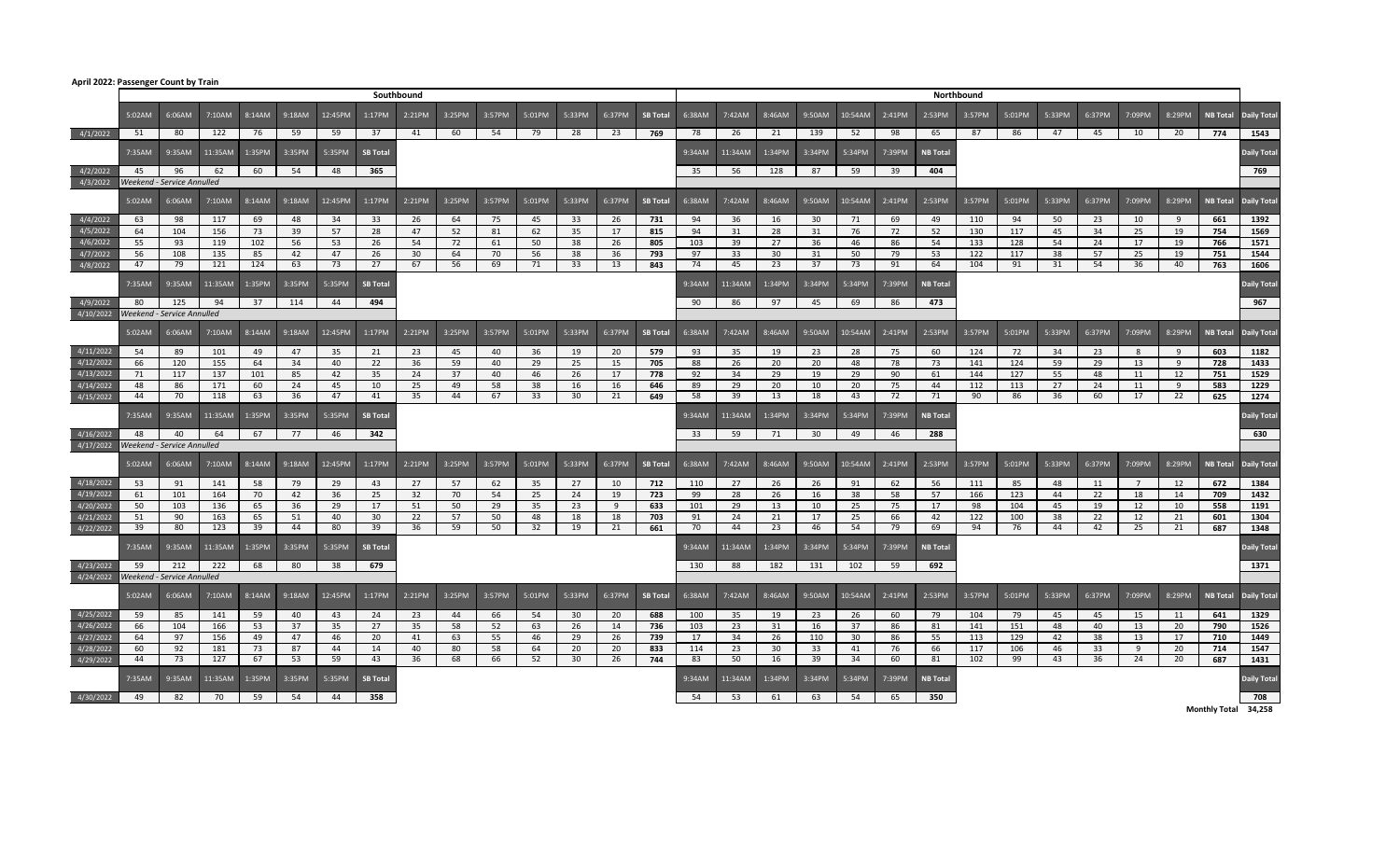| April 2022: Passenger Count by Train<br>Southbound<br>Northbound |          |                            |            |           |          |          |                 |          |          |           |                 |                       |                 |                 |           |          |          |                       |           |          |                 |            |            |          |          |                |            |                 |                             |
|------------------------------------------------------------------|----------|----------------------------|------------|-----------|----------|----------|-----------------|----------|----------|-----------|-----------------|-----------------------|-----------------|-----------------|-----------|----------|----------|-----------------------|-----------|----------|-----------------|------------|------------|----------|----------|----------------|------------|-----------------|-----------------------------|
|                                                                  |          |                            |            |           |          |          |                 |          |          |           |                 |                       |                 |                 |           |          |          |                       |           |          |                 |            |            |          |          |                |            |                 |                             |
|                                                                  | 5:02AM   | 6:06AM                     | 7:10AM     | 8:14AM    | 9:18AM   | 12:45PM  | 1:17PM          | 2:21PM   | 3:25PM   | 3:57PM    | 5:01PM          | 5:33PM                | 6:37PM          | <b>SB Total</b> | 6:38AM    | 7:42AM   | 8:46AM   | 9:50AM                | 10:54AM   | 2:41PM   | 2:53PM          | 3:57PM     | 5:01PM     | 5:33PM   | 6:37PM   | 7:09PM         | 8:29PM     |                 | <b>NB Total Daily Total</b> |
| 4/1/2022                                                         | 51       | 80                         | 122        | 76        | 59       | 59       | 37              | 41       | 60       | 54        | 79              | 28                    | 23              | 769             | 78        | 26       | 21       | 139                   | 52        | 98       | 65              | 87         | 86         | 47       | 45       | 10             | 20         | 774             | 1543                        |
|                                                                  | 7:35AM   | 9:35AM                     | 11:35AM    | 1:35PM    | 3:35PM   | 5:35PM   | <b>SB Total</b> |          |          |           |                 |                       |                 |                 | 9:34AM    | 11:34AM  | 1:34PM   | 3:34PM                | 5:34PM    | 7:39PM   | <b>NB Total</b> |            |            |          |          |                |            |                 | <b>Daily Total</b>          |
| 4/2/2022                                                         | 45       | 96                         | 62         | 60        | 54       | 48       | 365             |          |          |           |                 |                       |                 |                 | 35        | 56       | 128      | 87                    | 59        | 39       | 404             |            |            |          |          |                |            |                 | 769                         |
| 4/3/2022                                                         |          | Neekend - Service Annulled |            |           |          |          |                 |          |          |           |                 |                       |                 |                 |           |          |          |                       |           |          |                 |            |            |          |          |                |            |                 |                             |
|                                                                  | 5:02AM   | 6:06AM                     | 7:10AM     | 8:14AM    | 9:18AM   | 12:45PM  | 1:17PM          | 2:21PM   | 3:25PM   | 3:57PM    | 5:01PM          | 5:33PM                | 6:37PM          | <b>SB Total</b> | 6:38AM    | 7:42AM   | 8:46AM   | 9:50AM                | 10:54AM   | 2:41PM   | 2:53PM          | 3:57PM     | 5:01PM     | 5:33PM   | 6:37PM   | 7:09PM         | 8:29PM     |                 | <b>NB Total Daily Total</b> |
| 4/4/2022                                                         | 63       | 98                         | 117        | 69        | 48       | 34       | 33              | 26       | 64       | 75        | 45              | 33                    | 26              | 731             | 94        | 36       | 16       | 30 <sup>°</sup>       | 71        | 69       | 49              | 110        | 94         | 50       | 23       | 10             | - 9        | 661             | 1392                        |
| 4/5/2022                                                         | 64       | 104                        | 156        | 73        | 39       | 57       | 28              | 47<br>54 | 52       | 81        | 62              | 35                    | 17              | 815             | 94        | 31       | 28       | 31                    | 76        | 72       | 52              | 130        | 117<br>128 | 45       | 34<br>24 | 25             | 19         | 754<br>766      | 1569                        |
| $\sqrt{4/6/2022}$<br>4/7/2022                                    | 55<br>56 | 93<br>108                  | 119<br>135 | 102<br>85 | 56<br>42 | 53<br>47 | 26<br>26        | 30       | 72<br>64 | 61<br>70  | 50<br>56        | 38<br>38              | 26<br>36        | 805<br>793      | 103<br>97 | 39<br>33 | 27<br>30 | 36<br>31              | 46<br>50  | 86<br>79 | 54<br>53        | 133<br>122 | 117        | 54<br>38 | 57       | 17<br>25       | 19<br>19   | 751             | 1571<br>1544                |
| 4/8/2022                                                         | 47       | 79                         | 121        | 124       | 63       | 73       | 27              | 67       | 56       | 69        | 71              | 33                    | 13              | 843             | 74        | 45       | 23       | 37                    | 73        | 91       | 64              | 104        | 91         | 31       | 54       | 36             | 40         | 763             | 1606                        |
|                                                                  | 7:35AM   | 9:35AM                     | 11:35AM    | 1:35PM    | 3:35PM   | 5:35PM   | <b>SB Total</b> |          |          |           |                 |                       |                 |                 | 9:34AM    | 11:34AM  | 1:34PM   | 3:34PM                | 5:34PM    | 7:39PM   | <b>NB Total</b> |            |            |          |          |                |            |                 | <b>Daily Total</b>          |
| 4/9/2022                                                         | 80       | 125                        | 94         | 37        | 114      | 44       | 494             |          |          |           |                 |                       |                 |                 | 90        | 86       | 97       | 45                    | 69        | 86       | 473             |            |            |          |          |                |            |                 | 967                         |
| 4/10/2022                                                        |          | Neekend - Service Annulled |            |           |          |          |                 |          |          |           |                 |                       |                 |                 |           |          |          |                       |           |          |                 |            |            |          |          |                |            |                 |                             |
|                                                                  | 5:02AM   | 6:06AM                     | 7:10AM     | 8:14AM    | 9:18AM   | 12:45PM  | 1:17PM          | 2:21PM   | 3:25PM   | 3:57PM    | 5:01PM          | 5:33PM                | 6:37PM          | <b>SB Total</b> | 6:38AM    | 7:42AM   | 8:46AM   | 9:50AM                | 10:54AM   | 2:41PM   | 2:53PM          | 3:57PM     | 5:01PM     | 5:33PM   | 6:37PM   | 7:09PM         | 8:29PM     | <b>NB Total</b> | <b>Daily Total</b>          |
| 4/11/2022                                                        | 54       | 89                         | 101        | 49        | 47       | 35       | 21              | 23       | 45       | 40        | 36              | 19                    | 20              | 579             | 93        | 35       | 19       | 23                    | 28        | 75       | 60              | 124        | 72         | 34       | 23       | 8              | - 9        | 603             | 1182                        |
| 4/12/2022                                                        | 66       | 120                        | 155        | -64       | 34       | 40       | 22              | 36       | 59       | 40        | 29              | 25                    | 15              | 705             | 88        | 26       | 20       | 20                    | -48       | 78       | 73              | 141        | 124        | 59       | 29       | 13             |            | 728             | 1433                        |
| 4/13/2022                                                        | 71       | 117                        | 137        | 101       | 85       | 42       | 35              | 24       | 37       | 40        | 46              | 26                    | 17              | 778             | 92        | 34       | 29       | 19                    | 29        | 90       | 61              | 144        | 127        | 55       | 48       | 11             | 12         | 751             | 1529                        |
| 4/14/2022                                                        | 48<br>44 | 86<br>70                   | 171<br>118 | 60        | 24<br>36 | 45<br>47 | 10<br>41        | 25<br>35 | 49<br>44 | 58<br>-67 | 38<br>33        | 16<br>30              | 16<br>21        | 646             | 89<br>58  | 29<br>39 | 20<br>13 | 10<br>18              | 20<br>-43 | 75<br>72 | 44<br>71        | 112<br>90  | 113<br>86  | 27<br>36 | 24<br>60 | 11<br>17       | - 9<br>22  | 583             | 1229                        |
| 4/15/2022                                                        |          |                            |            | 63        |          |          |                 |          |          |           |                 |                       |                 | 649             |           |          |          |                       |           |          |                 |            |            |          |          |                |            | 625             | 1274                        |
|                                                                  | 7:35AM   | 9:35AM                     | 11:35AM    | 1:35PM    | 3:35PM   | 5:35PM   | <b>SB Total</b> |          |          |           |                 |                       |                 |                 | 9:34AM    | 11:34AM  | 1:34PM   | 3:34PM                | 5:34PM    | 7:39PM   | <b>NB Total</b> |            |            |          |          |                |            |                 | <b>Daily Total</b>          |
| 4/16/2022                                                        | 48       | 40                         | 64         | -67       | 77       | 46       | 342             |          |          |           |                 |                       |                 |                 | 33        | 59       |          | 30                    | 49        | 46       | 288             |            |            |          |          |                |            |                 | 630                         |
| 4/17/2022                                                        |          | Weekend - Service Annulled |            |           |          |          |                 |          |          |           |                 |                       |                 |                 |           |          |          |                       |           |          |                 |            |            |          |          |                |            |                 |                             |
|                                                                  | 5:02AM   | 6:06AM                     | 7:10AM     | 8:14AM    | 9:18AM   | 12:45PM  | 1:17PM          | 2:21PM   | 3:25PM   | 3:57PM    | 5:01PM          | 5:33PM                | 6:37PM          | <b>SB Total</b> | 6:38AM    | 7:42AM   | 8:46AM   | 9:50AM                | 10:54AM   | 2:41PM   | 2:53PM          | 3:57PM     | 5:01PM     | 5:33PM   | 6:37PM   | 7:09PM         | 8:29PM     |                 | <b>NB Total Daily Total</b> |
| 4/18/2022                                                        | 53       | 91                         | 141        | 58        | 79       | 29       | 43              | 27       | 57       | 62        | 35              | 27                    | 10 <sup>°</sup> | 712             | 110       | 27       | 26       | 26                    | 91        | 62       | 56              | 111        | 85         | 48       | 11       | $\overline{7}$ | 12         | 672             | 1384                        |
| 4/19/2022<br>4/20/2022                                           | 61<br>50 | 101<br>103                 | 164<br>136 | 70<br>65  | 42<br>36 | 36<br>29 | 25<br>17        | 32<br>51 | 70<br>50 | 54<br>29  | 25<br>35        | 24<br>23              | 19              | 723<br>633      | 99<br>101 | 28<br>29 | 26<br>13 | 16<br>10 <sup>°</sup> | 38<br>25  | 58<br>75 | 57<br>17        | 166<br>98  | 123<br>104 | 44<br>45 | 22<br>19 | 18<br>12       | 14<br>- 10 | 709<br>558      | 1432<br>1191                |
| 4/21/2022                                                        | 51       | 90                         | 163        | 65        | 51       | 40       | 30              | 22       | 57       | 50        | 48              | 18                    | 18              | 703             | 91        | 24       | 21       | 17                    | 25        | 66       | 42              | 122        | 100        | 38       | 22       | 12             | 21         | 601             | 1304                        |
| 4/22/2022                                                        | 39       | 80                         | 123        | 39        | 44       | 80       | 39              | 36       | 59       | 50        | 32 <sup>2</sup> | 19                    | 21              | 661             | 70        | 44       | 23       | 46                    | 54        | 79       | 69              | 94         | 76         | 44       | 42       | 25             | 21         | 687             | 1348                        |
|                                                                  | 7:35AM   | 9:35AM                     | 11:35AM    | 1:35PM    | 3:35PM   | 5:35PM   | <b>SB Total</b> |          |          |           |                 |                       |                 |                 | 9:34AM    | 11:34AM  | 1:34PM   | 3:34PM                | 5:34PM    | 7:39PM   | <b>NB Total</b> |            |            |          |          |                |            |                 | <b>Daily Total</b>          |
| 4/23/2022                                                        | 59       | 212                        | 222        | 68        | 80       | 38       | 679             |          |          |           |                 |                       |                 |                 | 130       | 88       | 182      | 131                   | 102       | 59       | 692             |            |            |          |          |                |            |                 | 1371                        |
| 4/24/2022                                                        |          | Weekend - Service Annulled |            |           |          |          |                 |          |          |           |                 |                       |                 |                 |           |          |          |                       |           |          |                 |            |            |          |          |                |            |                 |                             |
|                                                                  | 5:02AM   | 6:06AM                     | 7:10AM     | 8:14AM    | 9:18AM   | 12:45PM  | 1:17PM          | 2:21PM   | 3:25PM   | 3:57PM    | 5:01PM          | 5:33PM                | 6:37PM          | <b>SB Total</b> | 6:38AM    | 7:42AM   | 8:46AM   | 9:50AM                | 10:54AM   | 2:41PM   | 2:53PM          | 3:57PM     | 5:01PM     | 5:33PM   | 6:37PM   | 7:09PM         | 8:29PM     | <b>NB Total</b> | <b>Daily Total</b>          |
| 4/25/2022                                                        | 59       | 85                         | 141        | 59        | 40       | 43       | 24              | 23       | 44       | 66        | 54              | 30 <sup>°</sup>       | 20 <sub>2</sub> | 688             | 100       | 35       | 19       | 23                    | 26        | 60       | 79              | 104        | 79         | 45       | 45       | 15             | 11         | 641             | 1329                        |
| 4/26/2022                                                        | 66       | 104                        | 166        | 53        | 37       | 35       | 27              | 35       | 58       | 52        | 63              | 26                    | 14              | 736             | 103       | 23       | 31       | 16                    | 37        | 86       | 81              | 141        | 151        | 48       | 40       | 13             | 20         | 790             | 1526                        |
| 4/27/2022                                                        | 64       | 97                         | 156        | 49        | 47       | 46       | 20              | 41       | 63       | 55        | 46              | 29                    | 26              | 739             | 17        | 34       | 26       | 110                   | 30        | 86       | 55              | 113        | 129        | 42       | 38       | 13             | 17         | 710             | 1449                        |
| 4/28/2022<br>4/29/2022                                           | 60<br>44 | 92<br>73                   | 181<br>127 | 73<br>67  | 87<br>53 | 44<br>59 | 14<br>43        | 40<br>36 | 80<br>68 | 58<br>66  | 64<br>52        | 20<br>30 <sup>°</sup> | 20<br>26        | 833<br>744      | 114<br>83 | 23<br>50 | 30<br>16 | 33<br>39              | 41<br>34  | 76<br>60 | 66<br>81        | 117<br>102 | 106<br>99  | 46<br>43 | 33<br>36 | 9<br>24        | - 20<br>20 | 714<br>687      | 1547<br>1431                |
|                                                                  |          |                            |            |           |          |          |                 |          |          |           |                 |                       |                 |                 |           |          |          |                       |           |          |                 |            |            |          |          |                |            |                 |                             |
|                                                                  | 7:35AM   | 9:35AM                     | 11:35AM    | 1:35PM    | 3:35PM   | 5:35PM   | <b>SB Total</b> |          |          |           |                 |                       |                 |                 | 9:34AM    | 11:34AM  | 1:34PM   | 3:34PM                | 5:34PM    | 7:39PM   | <b>NB Total</b> |            |            |          |          |                |            |                 | <b>Daily Total</b>          |
| 4/30/2022                                                        | 49       | 82                         | 70         | 59        | 54       | 44       | 358             |          |          |           |                 |                       |                 |                 | 54        | 53       | 61       | 63                    | 54        | 65       | 350             |            |            |          |          |                |            |                 | 708                         |

**Monthly Total 34,258**